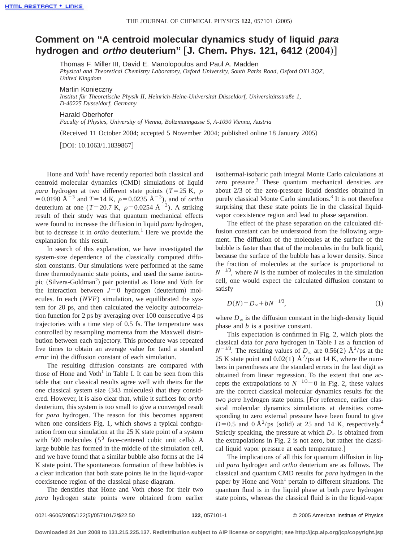## **Comment on ''A centroid molecular dynamics study of liquid para hydrogen and** *ortho* **deuterium"** [J. Chem. Phys. 121, 6412 (2004)]

Thomas F. Miller III, David E. Manolopoulos and Paul A. Madden

*Physical and Theoretical Chemistry Laboratory, Oxford University, South Parks Road, Oxford OX1 3QZ, United Kingdom*

Martin Konieczny

*Institut fu¨r Theoretische Physik II, Heinrich-Heine-Universita¨t Du¨sseldorf, Universita¨tsstraße 1, D-40225 Du¨sseldorf, Germany*

Harald Oberhofer

*Faculty of Physics, University of Vienna, Boltzmanngasse 5, A-1090 Vienna, Austria*

(Received 11 October 2004; accepted 5 November 2004; published online 18 January 2005)

 $[$ DOI: 10.1063/1.1839867 $]$ 

Hone and  $Voth<sup>1</sup>$  have recently reported both classical and centroid molecular dynamics (CMD) simulations of liquid *para* hydrogen at two different state points ( $T=25$  K,  $\rho$ )  $=0.0190 \text{ Å}^{-3}$  and  $T=14 \text{ K}$ ,  $\rho=0.0235 \text{ Å}^{-3}$ ), and of *ortho* deuterium at one (*T*=20.7 K,  $\rho$ =0.0254 Å<sup>-3</sup>). A striking result of their study was that quantum mechanical effects were found to increase the diffusion in liquid *para* hydrogen, but to decrease it in *ortho* deuterium.<sup>1</sup> Here we provide the explanation for this result.

In search of this explanation, we have investigated the system-size dependence of the classically computed diffusion constants. Our simulations were performed at the same three thermodynamic state points, and used the same isotropic (Silvera-Goldman<sup>2</sup>) pair potential as Hone and Voth for the interaction between  $J=0$  hydrogen (deuterium) molecules. In each (*NVE*) simulation, we equilibrated the system for 20 ps, and then calculated the velocity autocorrelation function for 2 ps by averaging over 100 consecutive 4 ps trajectories with a time step of 0.5 fs. The temperature was controlled by resampling momenta from the Maxwell distribution between each trajectory. This procedure was repeated five times to obtain an average value for (and a standard error in) the diffusion constant of each simulation.

The resulting diffusion constants are compared with those of Hone and Voth<sup>1</sup> in Table I. It can be seen from this table that our classical results agree well with theirs for the one classical system size  $(343$  molecules) that they considered. However, it is also clear that, while it suffices for *ortho* deuterium, this system is too small to give a converged result for *para* hydrogen. The reason for this becomes apparent when one considers Fig. 1, which shows a typical configuration from our simulation at the 25 K state point of a system with 500 molecules  $(5^3$  face-centered cubic unit cells). A large bubble has formed in the middle of the simulation cell, and we have found that a similar bubble also forms at the 14 K state point. The spontaneous formation of these bubbles is a clear indication that both state points lie in the liquid-vapor coexistence region of the classical phase diagram.

The densities that Hone and Voth chose for their two *para* hydrogen state points were obtained from earlier isothermal-isobaric path integral Monte Carlo calculations at zero pressure. $3$  These quantum mechanical densities are about 2/3 of the zero-pressure liquid densities obtained in purely classical Monte Carlo simulations.<sup>3</sup> It is not therefore surprising that these state points lie in the classical liquidvapor coexistence region and lead to phase separation.

The effect of the phase separation on the calculated diffusion constant can be understood from the following argument. The diffusion of the molecules at the surface of the bubble is faster than that of the molecules in the bulk liquid, because the surface of the bubble has a lower density. Since the fraction of molecules at the surface is proportional to  $N^{-1/3}$ , where *N* is the number of molecules in the simulation cell, one would expect the calculated diffusion constant to satisfy

$$
D(N) = D_{\infty} + bN^{-1/3},
$$
\n(1)

where  $D_\infty$  is the diffusion constant in the high-density liquid phase and *b* is a positive constant.

This expectation is confirmed in Fig. 2, which plots the classical data for *para* hydrogen in Table I as a function of  $N^{-1/3}$ . The resulting values of  $D_{\infty}$  are 0.56(2) Å<sup>2</sup>/ps at the 25 K state point and 0.02(1)  $\AA^2$ /ps at 14 K, where the numbers in parentheses are the standard errors in the last digit as obtained from linear regression. To the extent that one accepts the extrapolations to  $N^{-1/3}=0$  in Fig. 2, these values are the correct classical molecular dynamics results for the two *para* hydrogen state points. [For reference, earlier classical molecular dynamics simulations at densities corresponding to zero external pressure have been found to give  $D=0.5$  and  $0 \text{ Å}^2/\text{ps}$  (solid) at 25 and 14 K, respectively.<sup>4</sup> Strictly speaking, the pressure at which  $D_{\infty}$  is obtained from the extrapolations in Fig. 2 is not zero, but rather the classical liquid vapor pressure at each temperature.

The implications of all this for quantum diffusion in liquid *para* hydrogen and *ortho* deuterium are as follows. The classical and quantum CMD results for *para* hydrogen in the paper by Hone and Voth<sup>1</sup> pertain to different situations. The quantum fluid is in the liquid phase at both *para* hydrogen state points, whereas the classical fluid is in the liquid-vapor